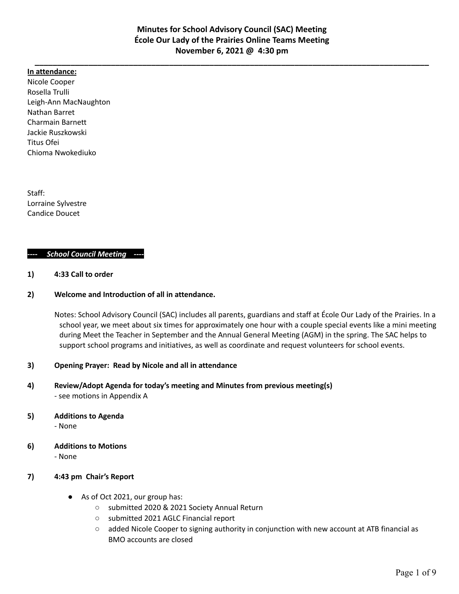**\_\_\_\_\_\_\_\_\_\_\_\_\_\_\_\_\_\_\_\_\_\_\_\_\_\_\_\_\_\_\_\_\_\_\_\_\_\_\_\_\_\_\_\_\_\_\_\_\_\_\_\_\_\_\_\_\_\_\_\_\_\_\_\_\_\_\_\_\_\_\_\_\_\_\_\_\_\_\_\_\_\_\_\_\_\_\_\_**

#### **In attendance:**

Nicole Cooper Rosella Trulli Leigh-Ann MacNaughton Nathan Barret Charmain Barnett Jackie Ruszkowski Titus Ofei Chioma Nwokediuko

Staff: Lorraine Sylvestre Candice Doucet

#### *---- School Council Meeting ----*

**1) 4:33 Call to order**

#### **2) Welcome and Introduction of all in attendance.**

Notes: School Advisory Council (SAC) includes all parents, guardians and staff at École Our Lady of the Prairies. In a school year, we meet about six times for approximately one hour with a couple special events like a mini meeting during Meet the Teacher in September and the Annual General Meeting (AGM) in the spring. The SAC helps to support school programs and initiatives, as well as coordinate and request volunteers for school events.

#### **3) Opening Prayer: Read by Nicole and all in attendance**

**4) Review/Adopt Agenda for today's meeting and Minutes from previous meeting(s)** - see motions in Appendix A

### **5) Additions to Agenda**

- None

**6) Additions to Motions**

- None

### **7) 4:43 pm Chair's Report**

- As of Oct 2021, our group has:
	- submitted 2020 & 2021 Society Annual Return
	- submitted 2021 AGLC Financial report
	- added Nicole Cooper to signing authority in conjunction with new account at ATB financial as BMO accounts are closed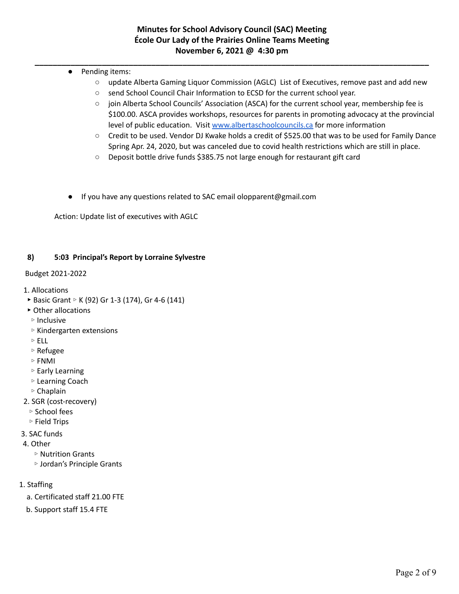- **\_\_\_\_\_\_\_\_\_\_\_\_\_\_\_\_\_\_\_\_\_\_\_\_\_\_\_\_\_\_\_\_\_\_\_\_\_\_\_\_\_\_\_\_\_\_\_\_\_\_\_\_\_\_\_\_\_\_\_\_\_\_\_\_\_\_\_\_\_\_\_\_\_\_\_\_\_\_\_\_\_\_\_\_\_\_\_\_** ● Pending items:
	- update Alberta Gaming Liquor Commission (AGLC) List of Executives, remove past and add new
	- send School Council Chair Information to ECSD for the current school year.
	- join Alberta School Councils' Association (ASCA) for the current school year, membership fee is \$100.00. ASCA provides workshops, resources for parents in promoting advocacy at the provincial level of public education. Visit [www.albertaschoolcouncils.ca](http://www.albertaschoolcouncils.ca) for more information
	- Credit to be used. Vendor DJ Kwake holds a credit of \$525.00 that was to be used for Family Dance Spring Apr. 24, 2020, but was canceled due to covid health restrictions which are still in place.
	- Deposit bottle drive funds \$385.75 not large enough for restaurant gift card
	- If you have any questions related to SAC email olopparent@gmail.com

Action: Update list of executives with AGLC

### **8) 5:03 Principal's Report by Lorraine Sylvestre**

### Budget 2021-2022

- 1. Allocations
- ▶ Basic Grant ▷ K (92) Gr 1-3 (174), Gr 4-6 (141)
- ▸ Other allocations
- ▹ Inclusive
- ▹ Kindergarten extensions
- ▹ ELL
- ▹ Refugee
- ▹ FNMI
- ▹ Early Learning
- ▹ Learning Coach
- ▹ Chaplain
- 2. SGR (cost-recovery)
	- ▹ School fees
	- ▹ Field Trips
- 3. SAC funds
- 4. Other
	- ▹ Nutrition Grants
	- ▹ Jordan's Principle Grants
- 1. Staffing
	- a. Certificated staff 21.00 FTE
	- b. Support staff 15.4 FTE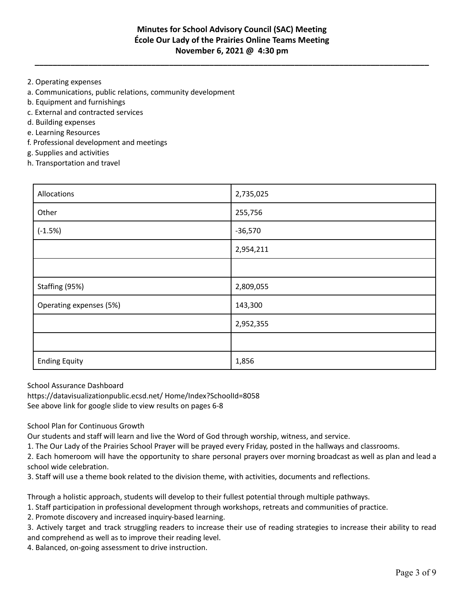**\_\_\_\_\_\_\_\_\_\_\_\_\_\_\_\_\_\_\_\_\_\_\_\_\_\_\_\_\_\_\_\_\_\_\_\_\_\_\_\_\_\_\_\_\_\_\_\_\_\_\_\_\_\_\_\_\_\_\_\_\_\_\_\_\_\_\_\_\_\_\_\_\_\_\_\_\_\_\_\_\_\_\_\_\_\_\_\_**

- 2. Operating expenses
- a. Communications, public relations, community development
- b. Equipment and furnishings
- c. External and contracted services
- d. Building expenses
- e. Learning Resources
- f. Professional development and meetings
- g. Supplies and activities
- h. Transportation and travel

| Allocations             | 2,735,025 |
|-------------------------|-----------|
| Other                   | 255,756   |
| $(-1.5%)$               | $-36,570$ |
|                         | 2,954,211 |
|                         |           |
| Staffing (95%)          | 2,809,055 |
| Operating expenses (5%) | 143,300   |
|                         | 2,952,355 |
|                         |           |
| <b>Ending Equity</b>    | 1,856     |

School Assurance Dashboard

https://datavisualizationpublic.ecsd.net/ Home/Index?SchoolId=8058 See above link for google slide to view results on pages 6-8

School Plan for Continuous Growth

Our students and staff will learn and live the Word of God through worship, witness, and service.

1. The Our Lady of the Prairies School Prayer will be prayed every Friday, posted in the hallways and classrooms.

2. Each homeroom will have the opportunity to share personal prayers over morning broadcast as well as plan and lead a school wide celebration.

3. Staff will use a theme book related to the division theme, with activities, documents and reflections.

Through a holistic approach, students will develop to their fullest potential through multiple pathways.

1. Staff participation in professional development through workshops, retreats and communities of practice.

2. Promote discovery and increased inquiry-based learning.

3. Actively target and track struggling readers to increase their use of reading strategies to increase their ability to read and comprehend as well as to improve their reading level.

4. Balanced, on-going assessment to drive instruction.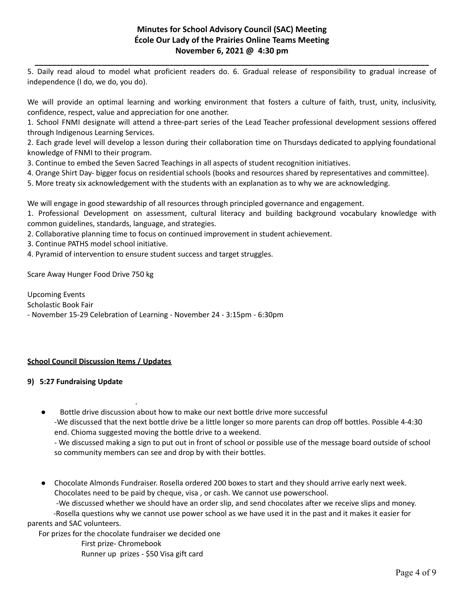**\_\_\_\_\_\_\_\_\_\_\_\_\_\_\_\_\_\_\_\_\_\_\_\_\_\_\_\_\_\_\_\_\_\_\_\_\_\_\_\_\_\_\_\_\_\_\_\_\_\_\_\_\_\_\_\_\_\_\_\_\_\_\_\_\_\_\_\_\_\_\_\_\_\_\_\_\_\_\_\_\_\_\_\_\_\_\_\_** 5. Daily read aloud to model what proficient readers do. 6. Gradual release of responsibility to gradual increase of independence (I do, we do, you do).

We will provide an optimal learning and working environment that fosters a culture of faith, trust, unity, inclusivity, confidence, respect, value and appreciation for one another.

1. School FNMI designate will attend a three-part series of the Lead Teacher professional development sessions offered through Indigenous Learning Services.

2. Each grade level will develop a lesson during their collaboration time on Thursdays dedicated to applying foundational knowledge of FNMI to their program.

3. Continue to embed the Seven Sacred Teachings in all aspects of student recognition initiatives.

- 4. Orange Shirt Day- bigger focus on residential schools (books and resources shared by representatives and committee).
- 5. More treaty six acknowledgement with the students with an explanation as to why we are acknowledging.

We will engage in good stewardship of all resources through principled governance and engagement.

1. Professional Development on assessment, cultural literacy and building background vocabulary knowledge with common guidelines, standards, language, and strategies.

2. Collaborative planning time to focus on continued improvement in student achievement.

- 3. Continue PATHS model school initiative.
- 4. Pyramid of intervention to ensure student success and target struggles.

Scare Away Hunger Food Drive 750 kg

Upcoming Events Scholastic Book Fair - November 15-29 Celebration of Learning - November 24 - 3:15pm - 6:30pm

### **School Council Discussion Items / Updates**

### **9) 5:27 Fundraising Update**

. Bottle drive discussion about how to make our next bottle drive more successful -We discussed that the next bottle drive be a little longer so more parents can drop off bottles. Possible 4-4:30 end. Chioma suggested moving the bottle drive to a weekend.

- We discussed making a sign to put out in front of school or possible use of the message board outside of school so community members can see and drop by with their bottles.

Chocolate Almonds Fundraiser. Rosella ordered 200 boxes to start and they should arrive early next week. Chocolates need to be paid by cheque, visa , or cash. We cannot use powerschool.

-We discussed whether we should have an order slip, and send chocolates after we receive slips and money.

-Rosella questions why we cannot use power school as we have used it in the past and it makes it easier for parents and SAC volunteers.

For prizes for the chocolate fundraiser we decided one

First prize- Chromebook Runner up prizes - \$50 Visa gift card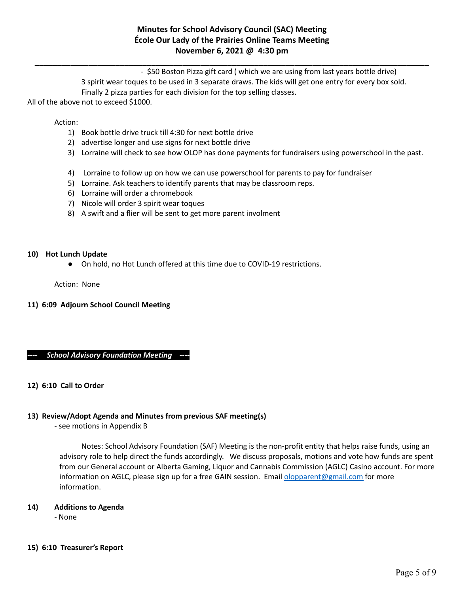**\_\_\_\_\_\_\_\_\_\_\_\_\_\_\_\_\_\_\_\_\_\_\_\_\_\_\_\_\_\_\_\_\_\_\_\_\_\_\_\_\_\_\_\_\_\_\_\_\_\_\_\_\_\_\_\_\_\_\_\_\_\_\_\_\_\_\_\_\_\_\_\_\_\_\_\_\_\_\_\_\_\_\_\_\_\_\_\_**

- \$50 Boston Pizza gift card ( which we are using from last years bottle drive) 3 spirit wear toques to be used in 3 separate draws. The kids will get one entry for every box sold. Finally 2 pizza parties for each division for the top selling classes.

All of the above not to exceed \$1000.

Action:

- 1) Book bottle drive truck till 4:30 for next bottle drive
- 2) advertise longer and use signs for next bottle drive
- 3) Lorraine will check to see how OLOP has done payments for fundraisers using powerschool in the past.
- 4) Lorraine to follow up on how we can use powerschool for parents to pay for fundraiser
- 5) Lorraine. Ask teachers to identify parents that may be classroom reps.
- 6) Lorraine will order a chromebook
- 7) Nicole will order 3 spirit wear toques
- 8) A swift and a flier will be sent to get more parent involment

#### **10) Hot Lunch Update**

● On hold, no Hot Lunch offered at this time due to COVID-19 restrictions.

Action: None

### **11) 6:09 Adjourn School Council Meeting**

### *---- School Advisory Foundation Meeting ----*

### **12) 6:10 Call to Order**

### **13) Review/Adopt Agenda and Minutes from previous SAF meeting(s)**

- see motions in Appendix B

Notes: School Advisory Foundation (SAF) Meeting is the non-profit entity that helps raise funds, using an advisory role to help direct the funds accordingly. We discuss proposals, motions and vote how funds are spent from our General account or Alberta Gaming, Liquor and Cannabis Commission (AGLC) Casino account. For more information on AGLC, please sign up for a free GAIN session. Email [olopparent@gmail.com](mailto:olopparent@gmail.com) for more information.

### **14) Additions to Agenda**

- None

#### **15) 6:10 Treasurer's Report**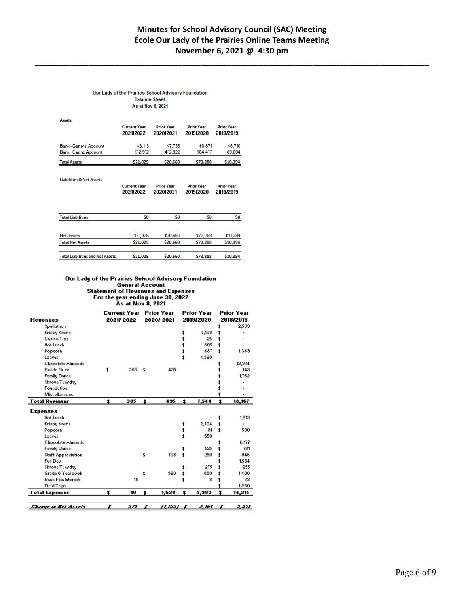**\_\_\_\_\_\_\_\_\_\_\_\_\_\_\_\_\_\_\_\_\_\_\_\_\_\_\_\_\_\_\_\_\_\_\_\_\_\_\_\_\_\_\_\_\_\_\_\_\_\_\_\_\_\_\_\_\_\_\_\_\_\_\_\_\_\_\_\_\_\_\_\_\_\_\_\_\_\_\_\_\_\_\_\_\_\_\_\_**

#### Our Lady of the Prairies School Advisory Foundation **Balance Sheet** As at Nov 8, 2021

| <b>Assets</b>         | <b>Current Year</b><br>2021/2022 | <b>Prior Year</b><br>2020/2021 | <b>Prior Year</b><br>2019/2020 | <b>Prior Year</b><br>2018/2019 |
|-----------------------|----------------------------------|--------------------------------|--------------------------------|--------------------------------|
| Bank -General Account | \$8,113                          | \$7,738                        | \$8,871                        | \$6,710                        |
| Bank -Casino Account  | \$12.912                         | \$12.922                       | \$64,417                       | \$3,684                        |
| <b>Total Assets</b>   | \$21,025                         | \$20,660                       | \$73,288                       | \$10,394                       |

**Liabilities & Net Assets** 

| <b>Current Year</b> | <b>Prior Year</b> | <b>Prior Year</b> | <b>Prior Year</b> |
|---------------------|-------------------|-------------------|-------------------|
| 2021/2022           | 2020/2021         | 2019/2020         | 2018/2019         |

| <b>Total Liabilities</b>                | \$0      | S0       | S0       | \$0      |
|-----------------------------------------|----------|----------|----------|----------|
| Net Assets                              | \$21,025 | \$20,660 | \$73.288 | \$10,394 |
| <b>Total Net Assets</b>                 | \$21,025 | \$20,660 | \$73,288 | \$10,394 |
| <b>Total Liabilities and Net Assets</b> | \$21,025 | \$20,660 | \$73,288 | \$10,394 |

#### Our Lady of the Prairies School Advisory Foundation General Account **Statement of Revenues and Expenses** For the year ending June 30, 2022<br>As at Nov 8, 2021

|                             |    | Current Year |    | <b>Prior Year</b> |   | <b>Prior Year</b><br>2019/2020 |    | <b>Prior Year</b><br>2018/2019 |
|-----------------------------|----|--------------|----|-------------------|---|--------------------------------|----|--------------------------------|
| <b>Revenues</b>             |    | 2021/2022    |    | 2020/2021         |   |                                |    |                                |
| Spellathon                  |    |              |    |                   |   |                                |    | 2,539                          |
| Krispy Kreme                |    |              |    |                   |   | 5,108                          |    |                                |
| Casino Tips                 |    |              |    |                   |   | 25                             | t  |                                |
| <b>Hot Lunch</b>            |    |              |    |                   |   | 605                            | t  |                                |
| Popcorn                     |    |              |    |                   |   | 487                            | t  | 1,349                          |
| Loaves                      |    |              |    |                   |   | 1,320                          |    |                                |
| Chocolate Almonds           |    |              |    |                   |   |                                |    | 12,374                         |
| <b>Bottle Drive</b>         | t  | 385          | t  | 435               |   |                                |    | 143                            |
| <b>Family Dance</b>         |    |              |    |                   |   |                                |    | 1,762                          |
| Shrove Tuesday              |    |              |    |                   |   |                                |    |                                |
| Foundation                  |    |              |    |                   |   |                                |    |                                |
| Miscellaneous               |    |              |    |                   |   |                                |    |                                |
| <b>Total Revenues</b>       | Ť. | 385          | 1  | 495               | 1 | 7,544                          | t  | 18,167                         |
| <b>Expenses</b>             |    |              |    |                   |   |                                |    |                                |
| <b>Hot Lunch</b>            |    |              |    |                   |   |                                | \$ | 1,219                          |
| Krispy Kreme                |    |              |    |                   | 1 | 2,704                          | t  |                                |
| Popcorn                     |    |              |    |                   |   | 91                             | t  | 500                            |
| Loaves                      |    |              |    |                   |   | 650                            |    |                                |
| Chocolate Almonds           |    |              |    |                   |   |                                |    | 6,177                          |
| <b>Family Dance</b>         |    |              |    |                   |   | 525                            |    | 781                            |
| <b>Staff Appreciation</b>   |    |              | \$ | 708               |   | 250                            |    | 946                            |
| Fun Day                     |    |              |    |                   |   |                                |    | 1,584                          |
| Shrove Tuesday              |    |              |    |                   |   | 275                            |    | 255                            |
| Grade 6 Yearbook            |    |              | t  | 920               |   | 880                            |    | 1,400                          |
| <b>Bank Fee/Interest</b>    |    | 10           |    |                   |   | 8                              |    | 73                             |
|                             |    |              |    |                   |   |                                |    |                                |
| Field Trips                 |    |              |    |                   |   |                                |    | 1,280                          |
| <b>Total Expenses</b>       |    | 10           | ٠. | 1,628             | t | 5,383                          |    | 14,215                         |
|                             |    |              |    |                   |   |                                |    |                                |
| <b>Change in Net Assets</b> |    | 375          |    | <u> 11.1337 </u>  |   | 2,161                          |    | <u> 5,551</u>                  |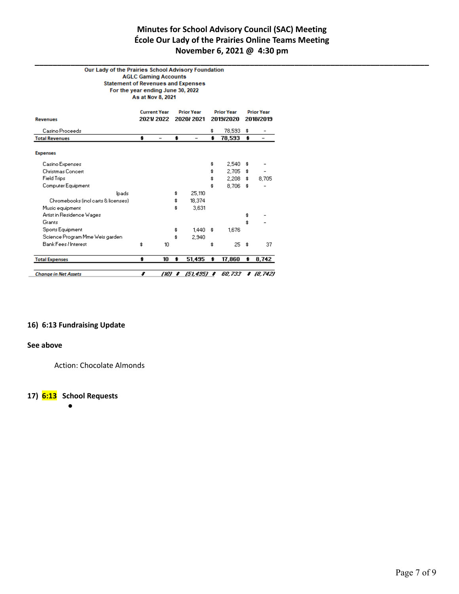**\_\_\_\_\_\_\_\_\_\_\_\_\_\_\_\_\_\_\_\_\_\_\_\_\_\_\_\_\_\_\_\_\_\_\_\_\_\_\_\_\_\_\_\_\_\_\_\_\_\_\_\_\_\_\_\_\_\_\_\_\_\_\_\_\_\_\_\_\_\_\_\_\_\_\_\_\_\_\_\_\_\_\_\_\_\_\_\_**

#### **AGLC Gaming Accounts Statement of Revenues and Expenses** For the year ending June 30, 2022 As at Nov 8, 2021

| <b>Revenues</b>                     | <b>Current Year</b><br><b>Prior Year</b><br>2021/2022<br>2020/2021 |                          | <b>Prior Year</b><br>2019/2020 |    | <b>Prior Year</b><br>2018/2019 |    |            |
|-------------------------------------|--------------------------------------------------------------------|--------------------------|--------------------------------|----|--------------------------------|----|------------|
| Casino Proceeds                     |                                                                    |                          |                                | \$ | 78,593                         | \$ |            |
| <b>Total Revenues</b>               | \$                                                                 | $\overline{\phantom{0}}$ | \$<br>$\overline{\phantom{0}}$ | \$ | 78,593                         | \$ | -          |
| <b>Expenses</b>                     |                                                                    |                          |                                |    |                                |    |            |
| Casino Expenses                     |                                                                    |                          |                                | \$ | 2,540                          | \$ |            |
| <b>Christmas Concert</b>            |                                                                    |                          |                                | \$ | 2.705                          | \$ |            |
| <b>Field Trips</b>                  |                                                                    |                          |                                | \$ | 2,208                          | \$ | 8,705      |
| Computer Equipment                  |                                                                    |                          |                                | \$ | 8,706                          | \$ |            |
| Ipads                               |                                                                    |                          | \$<br>25,110                   |    |                                |    |            |
| Chromebooks (incl carts & licenses) |                                                                    |                          | \$<br>18,374                   |    |                                |    |            |
| Music equipment                     |                                                                    |                          | \$<br>3,631                    |    |                                |    |            |
| Artist in Residence Wages           |                                                                    |                          |                                |    |                                | \$ |            |
| Grants                              |                                                                    |                          |                                |    |                                | \$ |            |
| Sports Equipment                    |                                                                    |                          | \$<br>1,440                    | \$ | 1,676                          |    |            |
| Science Program Mme Weis garden     |                                                                    |                          | \$<br>2,940                    |    |                                |    |            |
| Bank Fees / Interest                | \$                                                                 | 10                       |                                | \$ | 25                             | \$ | 37         |
| <b>Total Expenses</b>               | \$                                                                 | 10                       | \$<br>51,495                   | \$ | 17,860                         | \$ | 8,742      |
| <b>Change in Net Assets</b>         | s                                                                  | (10) t                   | (51.495) <b>s</b>              |    | 60.733                         |    | \$ (8,742) |

#### **16) 6:13 Fundraising Update**

#### **See above**

Action: Chocolate Almonds

### **17) 6:13 School Requests**

●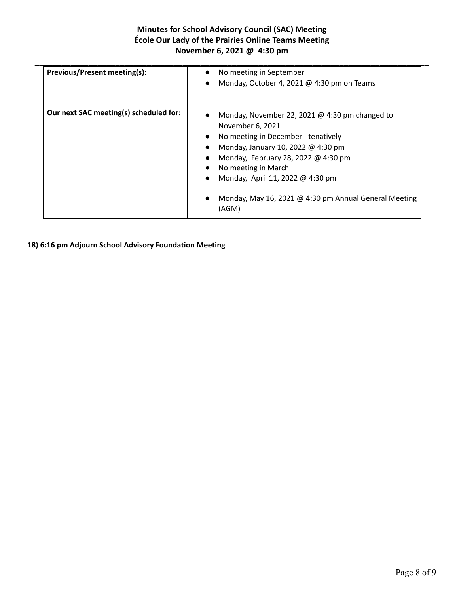| Previous/Present meeting(s):           | No meeting in September<br>$\bullet$<br>Monday, October 4, 2021 @ 4:30 pm on Teams<br>$\bullet$ |
|----------------------------------------|-------------------------------------------------------------------------------------------------|
|                                        |                                                                                                 |
| Our next SAC meeting(s) scheduled for: | Monday, November 22, 2021 $@$ 4:30 pm changed to<br>November 6, 2021                            |
|                                        | No meeting in December - tenatively<br>$\bullet$                                                |
|                                        | Monday, January 10, 2022 @ 4:30 pm                                                              |
|                                        | Monday, February 28, 2022 @ 4:30 pm                                                             |
|                                        | No meeting in March                                                                             |
|                                        | Monday, April 11, 2022 @ 4:30 pm<br>$\bullet$                                                   |
|                                        | Monday, May 16, 2021 @ 4:30 pm Annual General Meeting<br>(AGM)                                  |

**18) 6:16 pm Adjourn School Advisory Foundation Meeting**